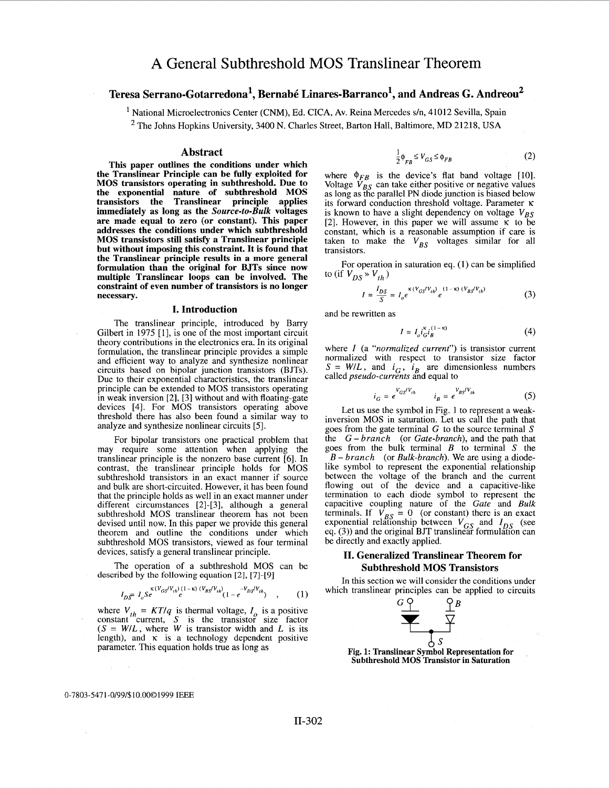# **Teresa Serrano-Gotarredona', Bernab6 Linares-Barranco', and Andreas G. Andreou2**

<sup>1</sup> National Microelectronics Center (CNM), Ed. CICA, Av. Reina Mercedes s/n, 41012 Sevilla, Spain

 $2$  The Johns Hopkins University, 3400 N. Charles Street, Barton Hall, Baltimore, MD 21218, USA

### **Abstract**

**This paper outlines the conditions under which the Translinear Principle can be fully exploited for MOS transistors operating in subthreshold. Due to the exponential nature of subthreshold MOS transistors the Translinear principle applies immediately as long as the** *Source-to-Bulk* **voltages are made equal to zero (or constant). This paper addresses the conditions under which subthreshold MOS transistors still satisfy a Translinear principle but without imposing this constraint. It is found that the Translinear principle results in a more general formulation than the original for BJTs since now multiple Translinear loops can be involved. The constraint of even number of transistors is no longer necessary.** 

### **I. Introduction**

The translinear principle, introduced by Barry Gilbert in 1975 [1], is one of the most important circuit theory contributions in the electronics era. In its original formulation, the translinear principle provides a simple and efficient way to analyze and synthesize nonlinear circuits based on bipolar junction transistors (BJTs). Due to their exponential characteristics, the translinear principle can be extended to MOS transistors operating in weak inversion [2], [3] without and with floating-gate devices [4]. For MOS transistors operating above threshold there has also been found a similar way to analyze and synthesize nonlinear circuits *[5].* 

For bipolar transistors one practical problem that may require some attention when applying the translinear principle is the nonzero base current *[6].* In contrast, the translinear principle holds for MOS subthreshold transistors in an exact manner if source and bulk are short-circuited. However, it has been found that the principle holds as well in an exact manner under different circumstances [2]-[3], although a general subthreshold MOS translinear theorem has not been devised until now. In this paper we provide this general theorem and outline the conditions under which subthreshold MOS transistors, viewed as four terminal devices, satisfy a general translinear principle.

The operation of a subthreshold MOS can be described by **the following** equation *[2],* **[7]-[9]** 

$$
I_{D\overline{S}} = I_o S_e^{\kappa(V_{GS}/V_{th})} \frac{(1-\kappa)(V_{BS}/V_{th})}{e} (1 - e^{-V_{DS}/V_{th}}) , \qquad (1)
$$

where  $V_{th} = KT/q$  is thermal voltage,  $I_0$  is a positive constant <sup>*n*</sup> current,  $\hat{S}$  is the transistor size factor  $(S = W/L)$ , where *W* is transistor width and *L* is its length), and  $\kappa$  is a technology dependent positive parameter. This equation holds true as long as

$$
\frac{1}{2}\phi_{FR} \le V_{GS} \le \phi_{FB}
$$
 (2)

where  $\phi_{FB}$  is the device's flat band voltage [10]. Voltage  $\bar{V}_{BS}$  can take either positive or negative values as long as the parallel PN diode junction is biased below its forward conduction threshold voltage. Parameter **<sup>K</sup>** is known to have a slight dependency on voltage  $V_{BS}$ [2]. However, in this paper we will assume  $\kappa$  to be constant, which is a reasonable assumption if care is taken to make the  $V_{BC}$  voltages similar for all transistors.

For operation in saturation eq. (1) can be simplified to (if  $V_{DS} \times V_{th}$ )

$$
I = \frac{I_{DS}}{S} = I_{o} e^{\kappa (V_{GS}/V_{th})} e^{(1-\kappa) (V_{BS}/V_{th})}
$$
 (3)

and be rewritten as

$$
I = I_o i_G^{\kappa} i_B^{(1-\kappa)}
$$
 (4)

where *I* (a *"normalized current")* is transistor current normalized with respect to transistor size factor  $S = W/L$ , and  $i_C$ ,  $i_R$  are dimensionless numbers called *pseudo-currents* and equal to

$$
i_G = e^{V_{GS}/V_{th}} \qquad i_B = e^{V_{BS}/V_{th}} \tag{5}
$$

Let us use the symbol in Fig. 1 to represent a weakinversion MOS in saturation. Let us call the path that goes from the gate terminal *G* to the source terminal S the *G* - *brunch* (or *Gate-brunch),* and the path that goes from the bulk terminal *B* to terminal S the *B* - *brunch* (or *Bulk-brunch).* We are using a diodelike symbol to represent the exponential relationship between the voltage of the branch and the current flowing out of the device and a capacitive-like termination to each diode symbol to represent the capacitive coupling nature of the *Gate* and *Bulk*  terminals. If  $V_{BS} = 0$  (or constant) there is an exact exponential relationship between  $V_{GS}$  and  $I_{DS}$  (see **eq.** (3)) and the original BJT translinear formulation can be directly and exactly applied.

## **11. Generalized Translinear Theorem for Subthreshold MOS Transistors**

In this section we will consider the conditions under which translinear principles can be applied to circuits





#### **0-7803-5471 -0/99/\$10.0001999 IEEE**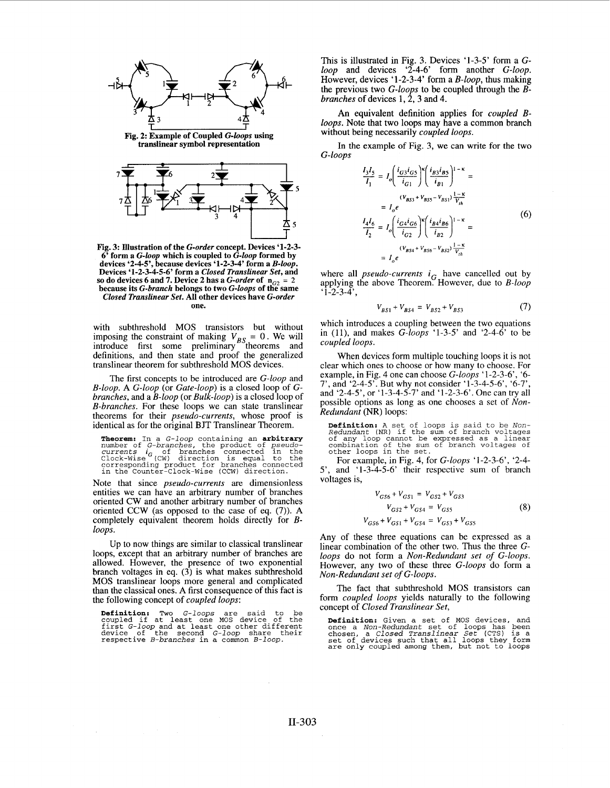

**Fig. 2: Example of Coupled** *G-loops* **using translinear symbol representation** 



**Fig. 3: Illustration of the** *G-order* **concept. Devices '1-2-3- 6' form a** *G-loop* **which is coupled to** *G-loop* **formed by devices '2-4-5', because devices '1-2-3-4' form a** *B-loop.*  so do devices 6 and 7. Device 2 has a *G-order* of  $n_{C2} = 2$  because its *G-branch* belongs to two *G-loops* of the same **because its** *G-branch* **belongs to two** *G-loops* **of the same** *Closed Translinear Set.* **All other devices have** *G-order* **one.** 

with subthreshold MOS transistors but without imposing the constraint of making  $V_{BS} = 0$ . We will introduce first some preliminary theorems and definitions, and then state and proof the generalized translinear theorem for subthreshold MOS devices.

The first concepts to be introduced are *G-loop* and *B-loop.* A *G-loop* (or *Gate-loop)* is a closed loop of *Gbranches,* and a *B-loop* (or *Bulk-loop)* is a closed loop of *B-branches.* For these loops we can state translinear theorems for their *pseudo-currents,* whose proof is identical as for the original BJT Translinear Theorem.

**Theorem:** In a *G*-loop containing an **arbitrary**<br>number of *G*-branches, the product of pseudo-<br>*currents i<sub>G</sub>* of branches connected in the<br>Clock-Wise (CW) direction is equal to the<br>corresponding product for branches c

Note that since *pseudo-currents* are dimensionless entities we can have an arbitrary number of branches oriented CW and another arbitrary number of branches oriented CCW (as opposed to the case of eq. (7)). A completely equivalent theorem holds directly for *Bloops.* 

Up to now things are similar to classical translinear loops, except that an arbitrary number of branches are allowed. However, the presence of two exponential branch voltages in eq. (3) **is** what makes subthreshold MOS translinear loops more general and complicated than the classical ones. A first consequence of this fact is the following concept of *coupled loops:* 

**Definition:** Two *G-loops* are said to be coupled if at least one MOS device of the first *G-loop* and at least one other different device of the second *G-loop* share their respective *B-branches* in a common *B-loop*.

This is illustrated in Fig. **3.** Devices '1-3-5' form a *Gloop* and devices '2-4-6' form another *G-loop.*  However, devices '1-2-3-4' form a *B-loop,* thus making the previous two *G-loops* to be coupled through the *Bbranches* of devices **1,2,3** and 4.

An equivalent definition applies for *coupled Bloops.* Note that two loops may have a common branch without being necessarily *coupled loops.* 

In the example of Fig. 3, we can write for the two *G-loops* 

$$
\frac{I_3 I_5}{I_1} = I_o \left( \frac{i_{G3} i_{G5}}{i_{G1}} \right)^{\kappa} \left( \frac{i_{B3} i_{B5}}{i_{B1}} \right)^{1-\kappa} =
$$
\n
$$
= I_o e^{(V_{B33} + V_{B55} - V_{B51}) \frac{1-\kappa}{V_{th}}}
$$
\n
$$
= I_o e^{(I_{G4} i_{G6})^{\kappa} \left( \frac{i_{B4} i_{B6}}{i_{B2}} \right)^{1-\kappa}} =
$$
\n
$$
\frac{(V_{B54} + V_{B56} - V_{B52}) \frac{1-\kappa}{V_{th}}}{1 - I_o e^{(I_{G54} + V_{B56} - V_{B52}) \frac{1-\kappa}{V_{th}}}}
$$
\n(6)

where all *pseudo-currents*  $i_G$  have cancelled out by applying the above Theorem. However, due to *B-loop*   $\cdot$ 1-2-3-4',

$$
V_{BS1} + V_{BS4} = V_{BS2} + V_{BS3} \tag{7}
$$

which introduces a coupling between the two equations in (Il), and makes *G-loops* '1-3-5' and '2-4-6' to be *coupled loops.* 

When devices form multiple touching loops it is not clear which ones to choose or how many to choose. For example, in Fig. 4 one can choose *G-loops* '1-2-3-6', '6- 7', and '2-4-5'. But why not consider '1-3-4-56', '6-7', and '2-4-5', or '1-3-4-5-7' and '1-2-3-6'. One can try all possible options as long as one chooses a set of *Non-Redundant* (NR) loops:

**Definition: A** set of loops **is** said to be Non-Redundant (NR) if the sum of branch voltages of any loop cannot be expressed as a linear combination of the sum of branch voltages of other loops in the set.

For example, in Fig. 4, for *G-loops* '1-2-3-6', '2-4- 5', and '1-3-4-5-6' their respective sum of branch voltages is,

$$
V_{GS6} + V_{GS1} = V_{GS2} + V_{GS3}
$$
  
\n
$$
V_{GS2} + V_{GS4} = V_{GS5}
$$
  
\n
$$
V_{GS6} + V_{GS1} + V_{GS4} = V_{GS3} + V_{GS5}
$$
\n(8)

Any of these three equations can be expressed as a linear combination of the other two. Thus the three *Gloops* do not form a *Non-Redundant set* of *G-loops.*  However, any two of these three *G-loops* do form a *Non-Redundant set* of *G-loops.* 

The fact that subthreshold MOS transistors can form *coupled loops* yields naturally to the following concept of *Closed Translinear Set,* 

**Definition:** Given a set of MOS devices, and once a Non-Redundant set of loops has been chosen, a Closed Translinear Set **(CTS)** is **<sup>a</sup>**set of devices such that all loops they form are only coupled among them, but not t.o loops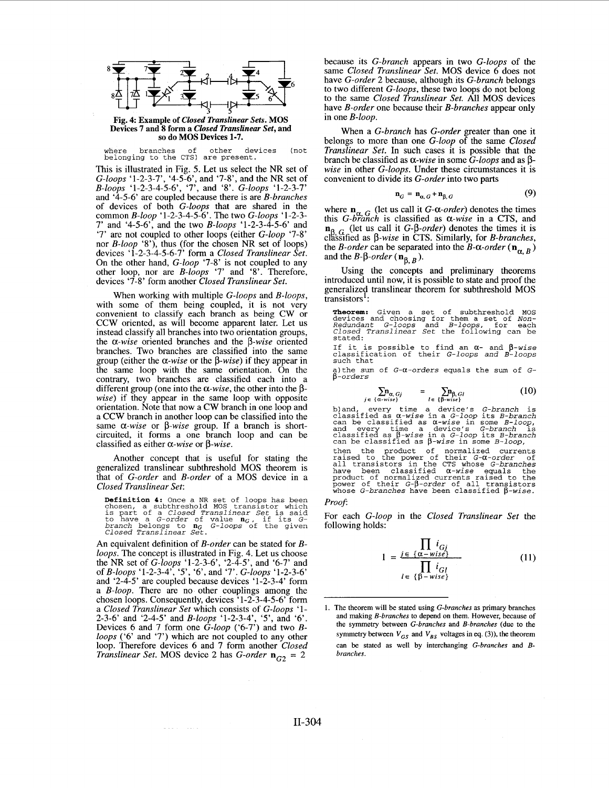

**Devices 7 and 8 form a** *Closed Translinear Set,* **and so do MOS Devices 1-7.** 

where branches of other devices (not belonging to the **CTS)** are present.

This is illustrated in Fig. 5. Let us select the NR set of *G-loops* '1-2-3-7', '4-5-6', and '7-8', and the NR set of *B-loops* '1-2-3-4-56', '7', and **'8'.** *G-loops* '1-2-3-7' and '4-5-6' are coupled because there is are *B-branches*  of devices of both *G-loops* that are shared in the common *B-loop* '1-2-3-4-5-6'. The two *G-loops* '1-2-3- 7' and '4-5-6', and the two *B-loops* '1-2-3-4-5-6' and '7' are not coupled to other loops (either *G-loop* '7-8' nor *B-loop* '8'), thus (for the chosen NR set of loops) devices '1-2-3-4-5-6-7' form a *Closed Translinear Set.*  On the other hand, *G-loop* '7-8' is not coupled to any other loop, nor are *B-loops* '7' and **'8'.** Therefore, devices '7-8' form another *Closed Translinear Set.* 

When working with multiple *G-loops* and *B-loops,*  with some of them being coupled, it is not very convenient to classify each branch as being CW or CCW oriented, as will become apparent later. Let us instead classify all branches into two orientation groups, the *a-wise* oriented branches and the *p-wise* oriented branches. Two branches are classified into the same group (either the  $\alpha$ -wise or the  $\beta$ -wise) if they appear in the same loop with the same orientation. On the contrary, two branches are classified each into a different group (one into the  $\alpha$ -*wise*, the other into the  $\beta$ -*wise*) if they appear in the same loop with opposite orientation. Note that now a CW branch in one loop and a CCW branch in another loop can be classified into the same *a-wise* or *p-wise* group. If a branch is shortcircuited, it forms a one branch loop and can be classified as either *a-wise* or *p-wise.* 

Another concept that is useful for stating the generalized translinear subthreshold MOS theorem is that of *G-order* and *B-order* of **a** MOS device in **a**  *Closed Translinear Set:* 

**Definition 4:** Once a NR set of loops has been<br>chosen, a subthreshold MOS transistor which<br>is part of a *Closed Translinear Set* is said<br>to have a *G-order* of value  $n_G$ , if its *G-*<br>*branch* belongs to  $n_G$  *G-loops* of

An equivalent definition of *B-order* can be stated for *Bloops.* The concept is illustrated in Fig. 4. Let us choose the NR set of *G-loops* '1-2-3-6', '2-4-5', and '6-7' and of *B-loops* '1-2-3-4', *'5',* '6', and '7'. *G-loops* '1-2-3-6' and '2-4-5' are coupled because devices '1-2-3-4' form a *B-loop.* There are no other couplings among the a  $B$ -loop. There are no other couplings among the chosen loops. Consequently, devices '1-2-3-4-5-6' form **a** *Closed Translinear Set* which consists of *G-loops* '1- 2-3-6' and '2-4-5' and *B-loops* '1-2-3-4', **'5',** and '6'. Devices 6 and 7 form one *G-loop* ('6-7') and two *Bloops* **('6'** and *'7')* which are not coupled to any other loop. Therefore devices 6 and 7 form another *Closed Translinear Set.* MOS device 2 has *G-order*  $\mathbf{n}_{G2} = 2$ 

because its *G-branch* appears in two *G-loops* of the same *Closed Translinear Set.* **MOS** device 6 does not have *G-order* 2 because, although its *G-branch* belongs to two different *G-loops,* these two loops do not belong to the same *Closed Translinear Set.* All MOS devices have *B-order* one because their *B-branches* appear only in one *B-loop.* 

When a *G-branch* has *G-order* greater than one it belongs to more than one *G-loop* of the same *Closed Translinear Set.* In such cases it is possible that the branch be classified as  $\alpha$ -wise in some *G-loops* and as  $\beta$ *wise* in other *G-loops.* Under these circumstances it is convenient to divide its *G-order* into two parts

$$
\mathbf{n}_G = \mathbf{n}_{\alpha,G} + \mathbf{n}_{\beta,G} \tag{9}
$$

where  $\mathbf{n}_{\alpha}$  *<sub>G</sub>* (let us call it *G-* $\alpha$ *-order*) denotes the times this *G-branch* is classified as  $\alpha$ -wise in a CTS, and  $n_{\beta, G}$  (let us call it *G-* $\beta$ -order) denotes the times it is clhied as *p-wise* in CTS. Similarly, for *B-branches,*  the *B-order* can be separated into the *B-* $\alpha$ *-order* ( $\mathbf{n}_{\alpha, B}$ ) and the *B*- $\beta$ -order ( $\mathbf{n}_{\beta, B}$ ).

Using the concepts and preliminary theorems introduced until now, it is possible to state and proof the generalized translinear theorem for subthreshold MOS transistors':

**Theorem:** Given a set of subthreshold **MOS** devices and choosing for them a set of *Non- Redundant G-loops* and *B-loops,* for each *Closed Translinear Set* the following can be stated:

If it is possible to find an *a-* and *p-wise*  classification of their *G-loops and B-loops*  such that

a)the sum of *G-a-orders* equals the **sum** of *G- P-orders* 

$$
\sum_{j \in \{\alpha - wise\}} \mathbf{D}_{\alpha, Gj} = \sum_{l \in \{\beta - wise\}} \mathbf{D}_{\beta, Gl} \tag{10}
$$

b) and, every time a device's *G*-branch is<br>classified as  $\alpha$ -wise in a *G*-loop its *B*-branch<br>can be classified as  $\alpha$ -wise in some *B*-loop,<br>and every time a device's *G*-branch is<br>classified as  $\beta$ -wise in a *G*-lo then the product of normalized currents<br>raised to the power of their  $G-0$ -order of<br>all transistors in the CTS whose  $G-branches$ <br>have been classified  $\alpha$ -wise equals the<br>product of normalized currents raised to the<br>power of

# *Proof:*

For each *G-loop* in the *Closed Translinear Set* the following holds:

$$
1 = \frac{\prod_{j \in \{\alpha - wise\}} i_{Gj}}{\prod_{l \in \{\beta - wise\}} i_{Gl}}
$$
(11)

**<sup>1.</sup> The theorem will be stated using** *G-brunches* **as primary branches and making** *B-branches* **to depend on them. However, because of the symmetry between** *G-brunches* **and** *B-brunches* **(due to the**  symmetry between  $V_{GS}$  and  $V_{BS}$  voltages in eq. (3)), the theorem can be stated as well by interchanging *G-branches* and *Bbrunches.*